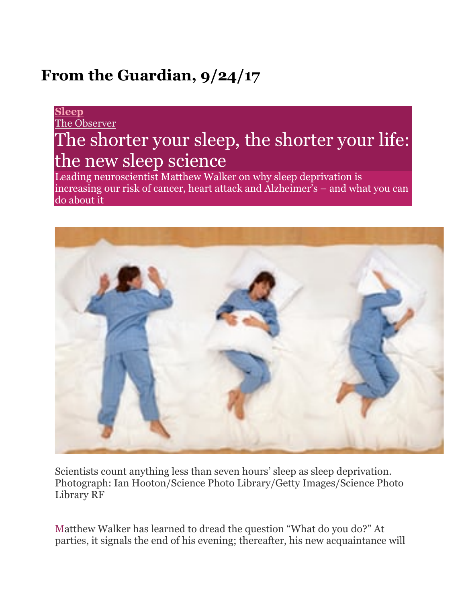### **From the Guardian, 9/24/17**

#### **Sleep** The Observer

# The shorter your sleep, the shorter your life: the new sleep science

Leading neuroscientist Matthew Walker on why sleep deprivation is increasing our risk of cancer, heart attack and Alzheimer's – and what you can do about it



Scientists count anything less than seven hours' sleep as sleep deprivation. Photograph: Ian Hooton/Science Photo Library/Getty Images/Science Photo Library RF

Matthew Walker has learned to dread the question "What do you do?" At parties, it signals the end of his evening; thereafter, his new acquaintance will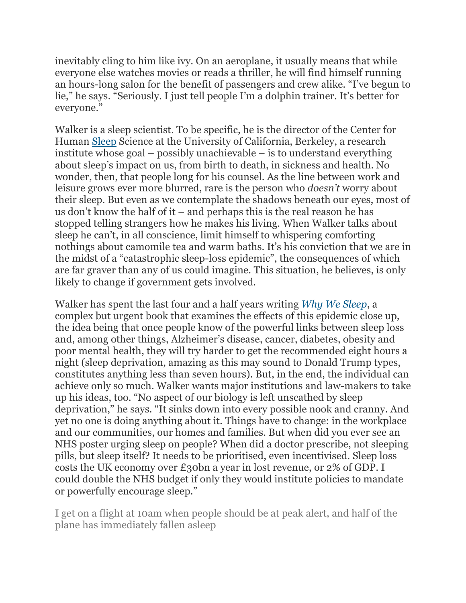inevitably cling to him like ivy. On an aeroplane, it usually means that while everyone else watches movies or reads a thriller, he will find himself running an hours-long salon for the benefit of passengers and crew alike. "I've begun to lie," he says. "Seriously. I just tell people I'm a dolphin trainer. It's better for everyone."

Walker is a sleep scientist. To be specific, he is the director of the Center for Human Sleep Science at the University of California, Berkeley, a research institute whose goal – possibly unachievable – is to understand everything about sleep's impact on us, from birth to death, in sickness and health. No wonder, then, that people long for his counsel. As the line between work and leisure grows ever more blurred, rare is the person who *doesn't* worry about their sleep. But even as we contemplate the shadows beneath our eyes, most of us don't know the half of it – and perhaps this is the real reason he has stopped telling strangers how he makes his living. When Walker talks about sleep he can't, in all conscience, limit himself to whispering comforting nothings about camomile tea and warm baths. It's his conviction that we are in the midst of a "catastrophic sleep-loss epidemic", the consequences of which are far graver than any of us could imagine. This situation, he believes, is only likely to change if government gets involved.

Walker has spent the last four and a half years writing *Why We Sleep*, a complex but urgent book that examines the effects of this epidemic close up, the idea being that once people know of the powerful links between sleep loss and, among other things, Alzheimer's disease, cancer, diabetes, obesity and poor mental health, they will try harder to get the recommended eight hours a night (sleep deprivation, amazing as this may sound to Donald Trump types, constitutes anything less than seven hours). But, in the end, the individual can achieve only so much. Walker wants major institutions and law-makers to take up his ideas, too. "No aspect of our biology is left unscathed by sleep deprivation," he says. "It sinks down into every possible nook and cranny. And yet no one is doing anything about it. Things have to change: in the workplace and our communities, our homes and families. But when did you ever see an NHS poster urging sleep on people? When did a doctor prescribe, not sleeping pills, but sleep itself? It needs to be prioritised, even incentivised. Sleep loss costs the UK economy over £30bn a year in lost revenue, or 2% of GDP. I could double the NHS budget if only they would institute policies to mandate or powerfully encourage sleep."

I get on a flight at 10am when people should be at peak alert, and half of the plane has immediately fallen asleep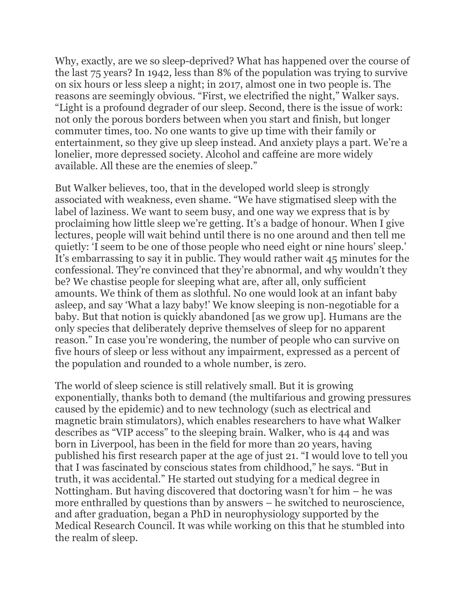Why, exactly, are we so sleep-deprived? What has happened over the course of the last 75 years? In 1942, less than 8% of the population was trying to survive on six hours or less sleep a night; in 2017, almost one in two people is. The reasons are seemingly obvious. "First, we electrified the night," Walker says. "Light is a profound degrader of our sleep. Second, there is the issue of work: not only the porous borders between when you start and finish, but longer commuter times, too. No one wants to give up time with their family or entertainment, so they give up sleep instead. And anxiety plays a part. We're a lonelier, more depressed society. Alcohol and caffeine are more widely available. All these are the enemies of sleep."

But Walker believes, too, that in the developed world sleep is strongly associated with weakness, even shame. "We have stigmatised sleep with the label of laziness. We want to seem busy, and one way we express that is by proclaiming how little sleep we're getting. It's a badge of honour. When I give lectures, people will wait behind until there is no one around and then tell me quietly: 'I seem to be one of those people who need eight or nine hours' sleep.' It's embarrassing to say it in public. They would rather wait 45 minutes for the confessional. They're convinced that they're abnormal, and why wouldn't they be? We chastise people for sleeping what are, after all, only sufficient amounts. We think of them as slothful. No one would look at an infant baby asleep, and say 'What a lazy baby!' We know sleeping is non-negotiable for a baby. But that notion is quickly abandoned [as we grow up]. Humans are the only species that deliberately deprive themselves of sleep for no apparent reason." In case you're wondering, the number of people who can survive on five hours of sleep or less without any impairment, expressed as a percent of the population and rounded to a whole number, is zero.

The world of sleep science is still relatively small. But it is growing exponentially, thanks both to demand (the multifarious and growing pressures caused by the epidemic) and to new technology (such as electrical and magnetic brain stimulators), which enables researchers to have what Walker describes as "VIP access" to the sleeping brain. Walker, who is 44 and was born in Liverpool, has been in the field for more than 20 years, having published his first research paper at the age of just 21. "I would love to tell you that I was fascinated by conscious states from childhood," he says. "But in truth, it was accidental." He started out studying for a medical degree in Nottingham. But having discovered that doctoring wasn't for him – he was more enthralled by questions than by answers – he switched to neuroscience, and after graduation, began a PhD in neurophysiology supported by the Medical Research Council. It was while working on this that he stumbled into the realm of sleep.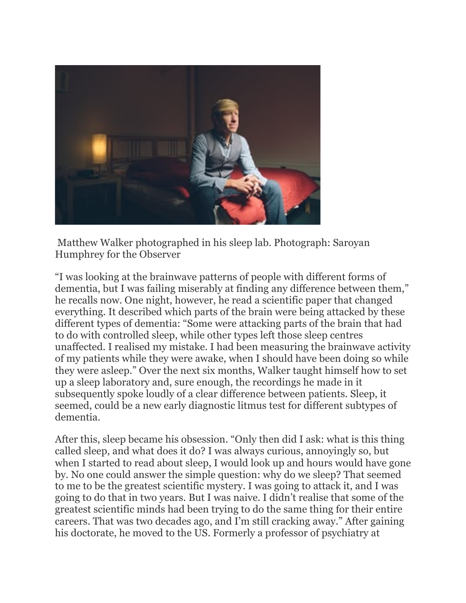

Matthew Walker photographed in his sleep lab. Photograph: Saroyan Humphrey for the Observer

"I was looking at the brainwave patterns of people with different forms of dementia, but I was failing miserably at finding any difference between them," he recalls now. One night, however, he read a scientific paper that changed everything. It described which parts of the brain were being attacked by these different types of dementia: "Some were attacking parts of the brain that had to do with controlled sleep, while other types left those sleep centres unaffected. I realised my mistake. I had been measuring the brainwave activity of my patients while they were awake, when I should have been doing so while they were asleep." Over the next six months, Walker taught himself how to set up a sleep laboratory and, sure enough, the recordings he made in it subsequently spoke loudly of a clear difference between patients. Sleep, it seemed, could be a new early diagnostic litmus test for different subtypes of dementia.

After this, sleep became his obsession. "Only then did I ask: what is this thing called sleep, and what does it do? I was always curious, annoyingly so, but when I started to read about sleep, I would look up and hours would have gone by. No one could answer the simple question: why do we sleep? That seemed to me to be the greatest scientific mystery. I was going to attack it, and I was going to do that in two years. But I was naive. I didn't realise that some of the greatest scientific minds had been trying to do the same thing for their entire careers. That was two decades ago, and I'm still cracking away." After gaining his doctorate, he moved to the US. Formerly a professor of psychiatry at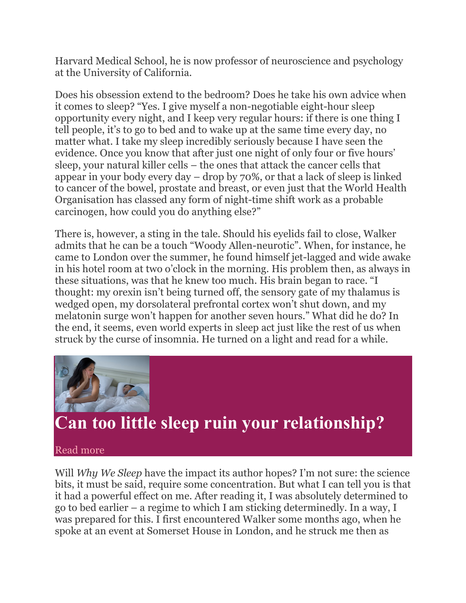Harvard Medical School, he is now professor of neuroscience and psychology at the University of California.

Does his obsession extend to the bedroom? Does he take his own advice when it comes to sleep? "Yes. I give myself a non-negotiable eight-hour sleep opportunity every night, and I keep very regular hours: if there is one thing I tell people, it's to go to bed and to wake up at the same time every day, no matter what. I take my sleep incredibly seriously because I have seen the evidence. Once you know that after just one night of only four or five hours' sleep, your natural killer cells – the ones that attack the cancer cells that appear in your body every day – drop by 70%, or that a lack of sleep is linked to cancer of the bowel, prostate and breast, or even just that the World Health Organisation has classed any form of night-time shift work as a probable carcinogen, how could you do anything else?"

There is, however, a sting in the tale. Should his eyelids fail to close, Walker admits that he can be a touch "Woody Allen-neurotic". When, for instance, he came to London over the summer, he found himself jet-lagged and wide awake in his hotel room at two o'clock in the morning. His problem then, as always in these situations, was that he knew too much. His brain began to race. "I thought: my orexin isn't being turned off, the sensory gate of my thalamus is wedged open, my dorsolateral prefrontal cortex won't shut down, and my melatonin surge won't happen for another seven hours." What did he do? In the end, it seems, even world experts in sleep act just like the rest of us when struck by the curse of insomnia. He turned on a light and read for a while.



## **Can too little sleep ruin your relationship?**

#### Read more

Will *Why We Sleep* have the impact its author hopes? I'm not sure: the science bits, it must be said, require some concentration. But what I can tell you is that it had a powerful effect on me. After reading it, I was absolutely determined to go to bed earlier – a regime to which I am sticking determinedly. In a way, I was prepared for this. I first encountered Walker some months ago, when he spoke at an event at Somerset House in London, and he struck me then as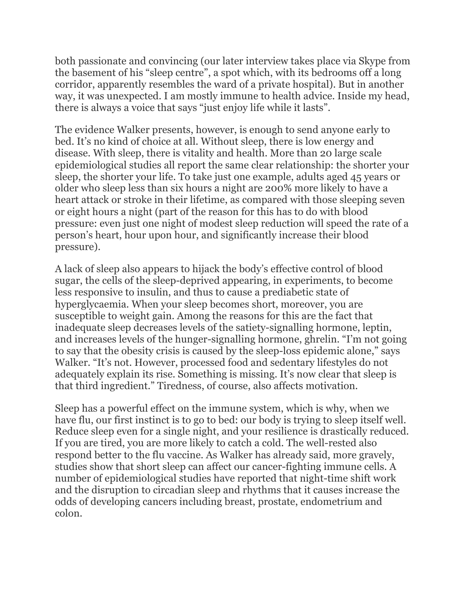both passionate and convincing (our later interview takes place via Skype from the basement of his "sleep centre", a spot which, with its bedrooms off a long corridor, apparently resembles the ward of a private hospital). But in another way, it was unexpected. I am mostly immune to health advice. Inside my head, there is always a voice that says "just enjoy life while it lasts".

The evidence Walker presents, however, is enough to send anyone early to bed. It's no kind of choice at all. Without sleep, there is low energy and disease. With sleep, there is vitality and health. More than 20 large scale epidemiological studies all report the same clear relationship: the shorter your sleep, the shorter your life. To take just one example, adults aged 45 years or older who sleep less than six hours a night are 200% more likely to have a heart attack or stroke in their lifetime, as compared with those sleeping seven or eight hours a night (part of the reason for this has to do with blood pressure: even just one night of modest sleep reduction will speed the rate of a person's heart, hour upon hour, and significantly increase their blood pressure).

A lack of sleep also appears to hijack the body's effective control of blood sugar, the cells of the sleep-deprived appearing, in experiments, to become less responsive to insulin, and thus to cause a prediabetic state of hyperglycaemia. When your sleep becomes short, moreover, you are susceptible to weight gain. Among the reasons for this are the fact that inadequate sleep decreases levels of the satiety-signalling hormone, leptin, and increases levels of the hunger-signalling hormone, ghrelin. "I'm not going to say that the obesity crisis is caused by the sleep-loss epidemic alone," says Walker. "It's not. However, processed food and sedentary lifestyles do not adequately explain its rise. Something is missing. It's now clear that sleep is that third ingredient." Tiredness, of course, also affects motivation.

Sleep has a powerful effect on the immune system, which is why, when we have flu, our first instinct is to go to bed: our body is trying to sleep itself well. Reduce sleep even for a single night, and your resilience is drastically reduced. If you are tired, you are more likely to catch a cold. The well-rested also respond better to the flu vaccine. As Walker has already said, more gravely, studies show that short sleep can affect our cancer-fighting immune cells. A number of epidemiological studies have reported that night-time shift work and the disruption to circadian sleep and rhythms that it causes increase the odds of developing cancers including breast, prostate, endometrium and colon.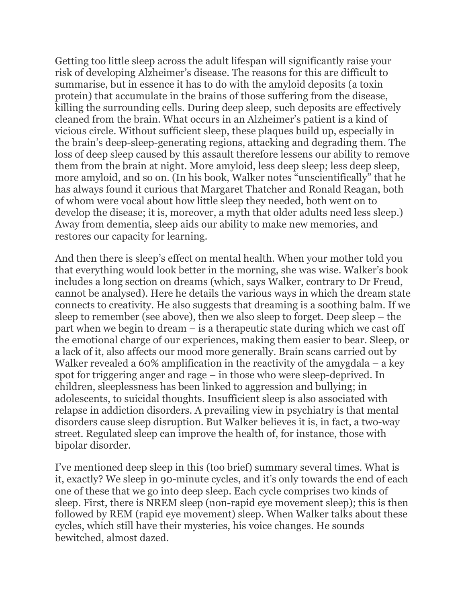Getting too little sleep across the adult lifespan will significantly raise your risk of developing Alzheimer's disease. The reasons for this are difficult to summarise, but in essence it has to do with the amyloid deposits (a toxin protein) that accumulate in the brains of those suffering from the disease, killing the surrounding cells. During deep sleep, such deposits are effectively cleaned from the brain. What occurs in an Alzheimer's patient is a kind of vicious circle. Without sufficient sleep, these plaques build up, especially in the brain's deep-sleep-generating regions, attacking and degrading them. The loss of deep sleep caused by this assault therefore lessens our ability to remove them from the brain at night. More amyloid, less deep sleep; less deep sleep, more amyloid, and so on. (In his book, Walker notes "unscientifically" that he has always found it curious that Margaret Thatcher and Ronald Reagan, both of whom were vocal about how little sleep they needed, both went on to develop the disease; it is, moreover, a myth that older adults need less sleep.) Away from dementia, sleep aids our ability to make new memories, and restores our capacity for learning.

And then there is sleep's effect on mental health. When your mother told you that everything would look better in the morning, she was wise. Walker's book includes a long section on dreams (which, says Walker, contrary to Dr Freud, cannot be analysed). Here he details the various ways in which the dream state connects to creativity. He also suggests that dreaming is a soothing balm. If we sleep to remember (see above), then we also sleep to forget. Deep sleep – the part when we begin to dream – is a therapeutic state during which we cast off the emotional charge of our experiences, making them easier to bear. Sleep, or a lack of it, also affects our mood more generally. Brain scans carried out by Walker revealed a 60% amplification in the reactivity of the amygdala – a key spot for triggering anger and rage – in those who were sleep-deprived. In children, sleeplessness has been linked to aggression and bullying; in adolescents, to suicidal thoughts. Insufficient sleep is also associated with relapse in addiction disorders. A prevailing view in psychiatry is that mental disorders cause sleep disruption. But Walker believes it is, in fact, a two-way street. Regulated sleep can improve the health of, for instance, those with bipolar disorder.

I've mentioned deep sleep in this (too brief) summary several times. What is it, exactly? We sleep in 90-minute cycles, and it's only towards the end of each one of these that we go into deep sleep. Each cycle comprises two kinds of sleep. First, there is NREM sleep (non-rapid eye movement sleep); this is then followed by REM (rapid eye movement) sleep. When Walker talks about these cycles, which still have their mysteries, his voice changes. He sounds bewitched, almost dazed.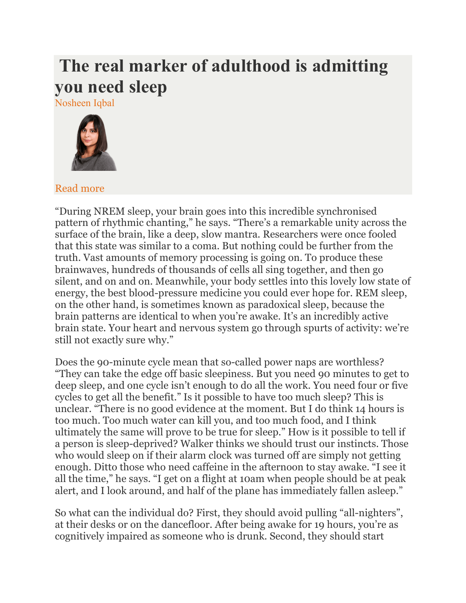# **The real marker of adulthood is admitting you need sleep**

Nosheen Iqbal



Read more

"During NREM sleep, your brain goes into this incredible synchronised pattern of rhythmic chanting," he says. "There's a remarkable unity across the surface of the brain, like a deep, slow mantra. Researchers were once fooled that this state was similar to a coma. But nothing could be further from the truth. Vast amounts of memory processing is going on. To produce these brainwaves, hundreds of thousands of cells all sing together, and then go silent, and on and on. Meanwhile, your body settles into this lovely low state of energy, the best blood-pressure medicine you could ever hope for. REM sleep, on the other hand, is sometimes known as paradoxical sleep, because the brain patterns are identical to when you're awake. It's an incredibly active brain state. Your heart and nervous system go through spurts of activity: we're still not exactly sure why."

Does the 90-minute cycle mean that so-called power naps are worthless? "They can take the edge off basic sleepiness. But you need 90 minutes to get to deep sleep, and one cycle isn't enough to do all the work. You need four or five cycles to get all the benefit." Is it possible to have too much sleep? This is unclear. "There is no good evidence at the moment. But I do think 14 hours is too much. Too much water can kill you, and too much food, and I think ultimately the same will prove to be true for sleep." How is it possible to tell if a person is sleep-deprived? Walker thinks we should trust our instincts. Those who would sleep on if their alarm clock was turned off are simply not getting enough. Ditto those who need caffeine in the afternoon to stay awake. "I see it all the time," he says. "I get on a flight at 10am when people should be at peak alert, and I look around, and half of the plane has immediately fallen asleep."

So what can the individual do? First, they should avoid pulling "all-nighters", at their desks or on the dancefloor. After being awake for 19 hours, you're as cognitively impaired as someone who is drunk. Second, they should start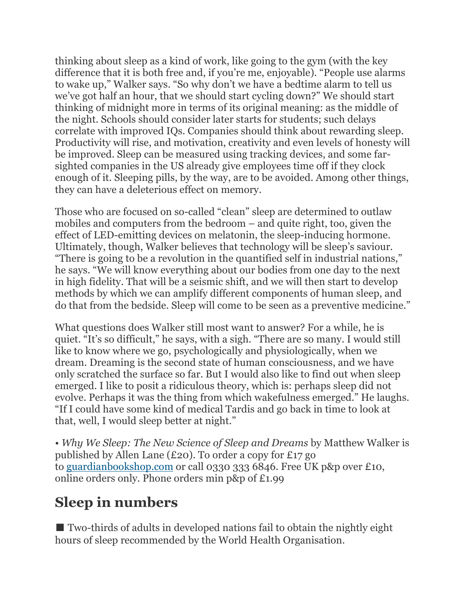thinking about sleep as a kind of work, like going to the gym (with the key difference that it is both free and, if you're me, enjoyable). "People use alarms to wake up," Walker says. "So why don't we have a bedtime alarm to tell us we've got half an hour, that we should start cycling down?" We should start thinking of midnight more in terms of its original meaning: as the middle of the night. Schools should consider later starts for students; such delays correlate with improved IQs. Companies should think about rewarding sleep. Productivity will rise, and motivation, creativity and even levels of honesty will be improved. Sleep can be measured using tracking devices, and some farsighted companies in the US already give employees time off if they clock enough of it. Sleeping pills, by the way, are to be avoided. Among other things, they can have a deleterious effect on memory.

Those who are focused on so-called "clean" sleep are determined to outlaw mobiles and computers from the bedroom – and quite right, too, given the effect of LED-emitting devices on melatonin, the sleep-inducing hormone. Ultimately, though, Walker believes that technology will be sleep's saviour. "There is going to be a revolution in the quantified self in industrial nations," he says. "We will know everything about our bodies from one day to the next in high fidelity. That will be a seismic shift, and we will then start to develop methods by which we can amplify different components of human sleep, and do that from the bedside. Sleep will come to be seen as a preventive medicine."

What questions does Walker still most want to answer? For a while, he is quiet. "It's so difficult," he says, with a sigh. "There are so many. I would still like to know where we go, psychologically and physiologically, when we dream. Dreaming is the second state of human consciousness, and we have only scratched the surface so far. But I would also like to find out when sleep emerged. I like to posit a ridiculous theory, which is: perhaps sleep did not evolve. Perhaps it was the thing from which wakefulness emerged." He laughs. "If I could have some kind of medical Tardis and go back in time to look at that, well, I would sleep better at night."

*• Why We Sleep: The New Science of Sleep and Dreams* by Matthew Walker is published by Allen Lane (£20). To order a copy for £17 go to guardianbookshop.com or call 0330 333 6846. Free UK p&p over £10, online orders only. Phone orders min p&p of £1.99

### **Sleep in numbers**

■ Two-thirds of adults in developed nations fail to obtain the nightly eight hours of sleep recommended by the World Health Organisation.